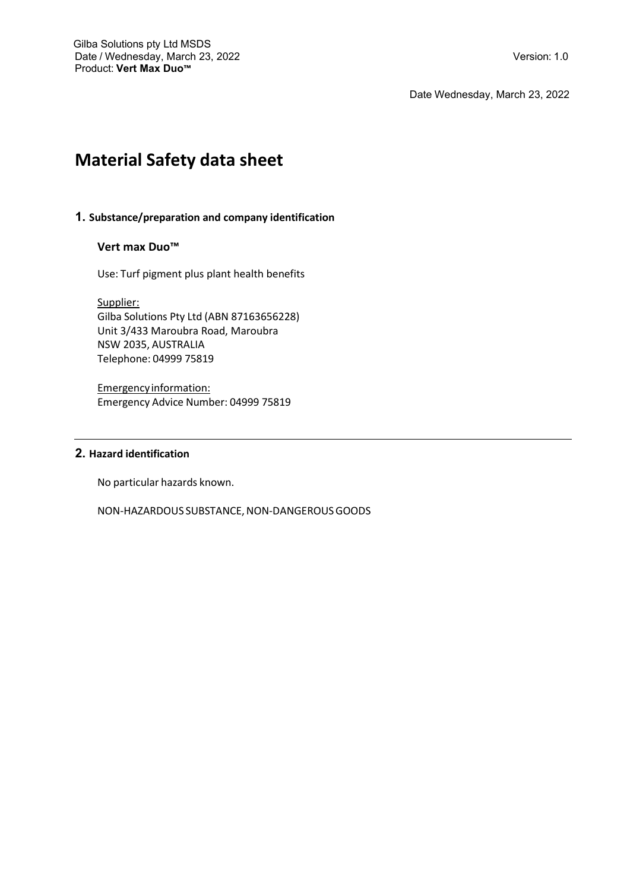Date Wednesday, March 23, 2022

# **Material Safety data sheet**

# **1. Substance/preparation and company identification**

# **Vert max Duo™**

Use: Turf pigment plus plant health benefits

Supplier: Gilba Solutions Pty Ltd (ABN 87163656228) Unit 3/433 Maroubra Road, Maroubra NSW 2035, AUSTRALIA Telephone: 04999 75819

Emergency information: Emergency Advice Number: 04999 75819

# **2. Hazard identification**

No particular hazards known.

NON-HAZARDOUS SUBSTANCE, NON-DANGEROUS GOODS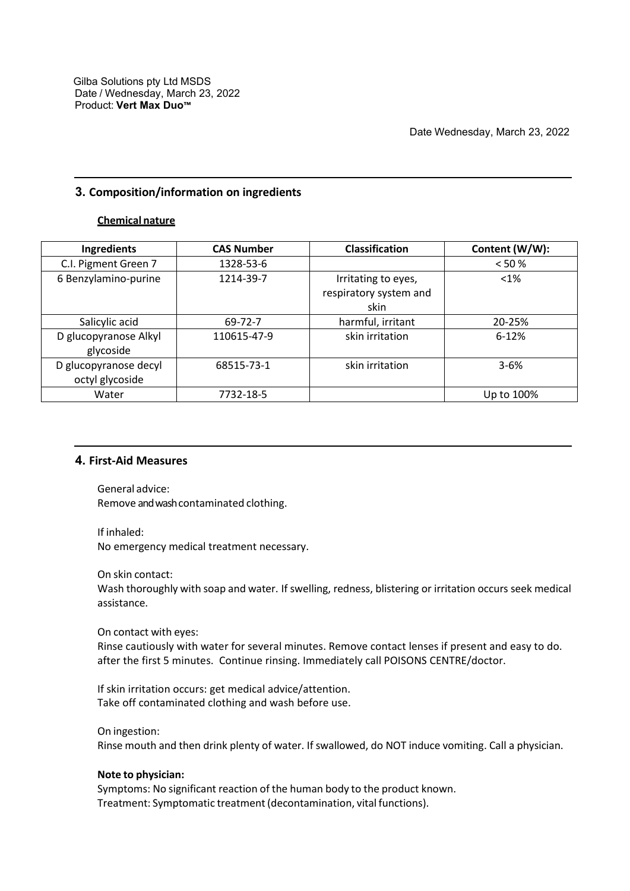# **3. Composition/information on ingredients**

# **Chemical nature**

| Ingredients                              | <b>CAS Number</b> | <b>Classification</b>                                 | Content (W/W): |
|------------------------------------------|-------------------|-------------------------------------------------------|----------------|
| C.I. Pigment Green 7                     | 1328-53-6         |                                                       | < 50 %         |
| 6 Benzylamino-purine                     | 1214-39-7         | Irritating to eyes,<br>respiratory system and<br>skin | $< 1\%$        |
| Salicylic acid                           | 69-72-7           | harmful, irritant                                     | 20-25%         |
| D glucopyranose Alkyl<br>glycoside       | 110615-47-9       | skin irritation                                       | $6 - 12%$      |
| D glucopyranose decyl<br>octyl glycoside | 68515-73-1        | skin irritation                                       | $3 - 6%$       |
| Water                                    | 7732-18-5         |                                                       | Up to 100%     |

# **4. First-Aid Measures**

General advice: Remove and wash contaminated clothing.

If inhaled: No emergency medical treatment necessary.

On skin contact:

Wash thoroughly with soap and water. If swelling, redness, blistering or irritation occurs seek medical assistance.

## On contact with eyes:

Rinse cautiously with water for several minutes. Remove contact lenses if present and easy to do. after the first 5 minutes. Continue rinsing. Immediately call POISONS CENTRE/doctor.

If skin irritation occurs: get medical advice/attention. Take off contaminated clothing and wash before use.

#### On ingestion:

Rinse mouth and then drink plenty of water. If swallowed, do NOT induce vomiting. Call a physician.

## **Note to physician:**

Symptoms: No significant reaction of the human body to the product known. Treatment: Symptomatic treatment(decontamination, vital functions).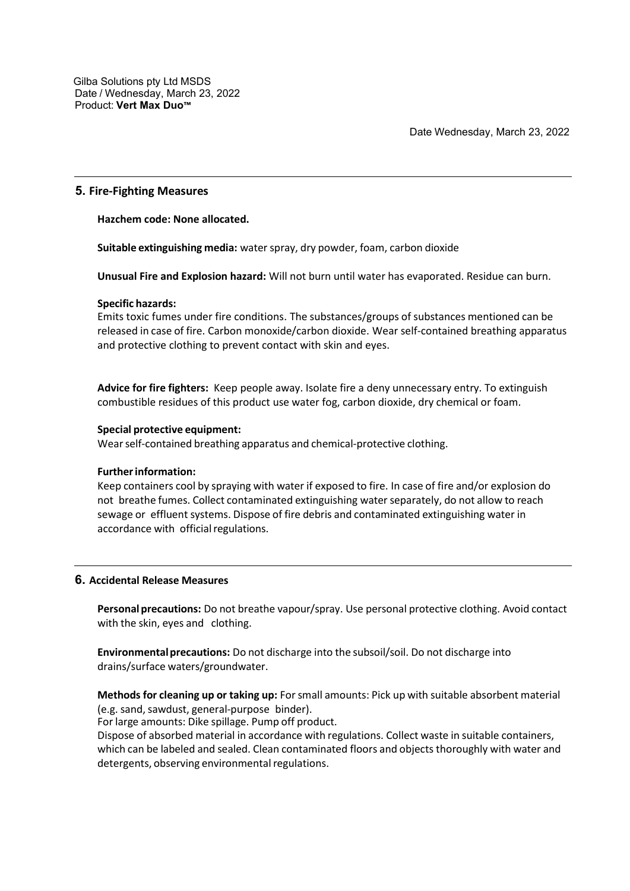# **5. Fire-Fighting Measures**

**Hazchem code: None allocated.**

**Suitable extinguishing media:** waterspray, dry powder, foam, carbon dioxide

**Unusual Fire and Explosion hazard:** Will not burn until water has evaporated. Residue can burn.

#### **Specific hazards:**

Emits toxic fumes under fire conditions. The substances/groups of substances mentioned can be released in case of fire. Carbon monoxide/carbon dioxide. Wear self-contained breathing apparatus and protective clothing to prevent contact with skin and eyes.

**Advice for fire fighters:** Keep people away. Isolate fire a deny unnecessary entry. To extinguish combustible residues of this product use water fog, carbon dioxide, dry chemical or foam.

#### **Special protective equipment:**

Wearself-contained breathing apparatus and chemical-protective clothing.

## **Furtherinformation:**

Keep containers cool by spraying with water if exposed to fire. In case of fire and/or explosion do not breathe fumes. Collect contaminated extinguishing waterseparately, do not allow to reach sewage or effluent systems. Dispose of fire debris and contaminated extinguishing water in accordance with official regulations.

# **6. Accidental Release Measures**

**Personal precautions:** Do not breathe vapour/spray. Use personal protective clothing. Avoid contact with the skin, eyes and clothing.

**Environmentalprecautions:** Do not discharge into the subsoil/soil. Do not discharge into drains/surface waters/groundwater.

**Methods for cleaning up or taking up:** Forsmall amounts: Pick up with suitable absorbent material (e.g. sand, sawdust, general-purpose binder).

For large amounts: Dike spillage. Pump off product.

Dispose of absorbed material in accordance with regulations. Collect waste in suitable containers, which can be labeled and sealed. Clean contaminated floors and objects thoroughly with water and detergents, observing environmental regulations.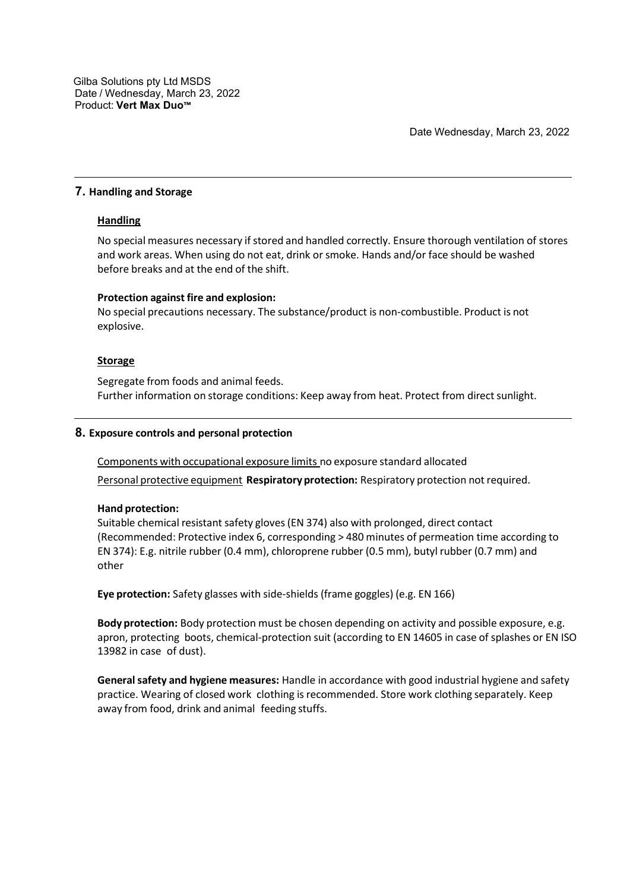Date Wednesday, March 23, 2022

# **7. Handling and Storage**

## **Handling**

No special measures necessary if stored and handled correctly. Ensure thorough ventilation of stores and work areas. When using do not eat, drink or smoke. Hands and/or face should be washed before breaks and at the end of the shift.

## **Protection against fire and explosion:**

No special precautions necessary. The substance/product is non-combustible. Product is not explosive.

## **Storage**

Segregate from foods and animal feeds. Further information on storage conditions: Keep away from heat. Protect from direct sunlight.

# **8. Exposure controls and personal protection**

Components with occupational exposure limits no exposure standard allocated

Personal protective equipment **Respiratoryprotection:** Respiratory protection not required.

## **Hand protection:**

Suitable chemical resistant safety gloves (EN 374) also with prolonged, direct contact (Recommended: Protective index 6, corresponding > 480 minutes of permeation time according to EN 374): E.g. nitrile rubber (0.4 mm), chloroprene rubber (0.5 mm), butyl rubber (0.7 mm) and other

**Eye protection:** Safety glasses with side-shields (frame goggles) (e.g. EN 166)

**Body protection:** Body protection must be chosen depending on activity and possible exposure, e.g. apron, protecting boots, chemical-protection suit (according to EN 14605 in case of splashes or EN ISO 13982 in case of dust).

**Generalsafety and hygiene measures:** Handle in accordance with good industrial hygiene and safety practice. Wearing of closed work clothing is recommended. Store work clothing separately. Keep away from food, drink and animal feeding stuffs.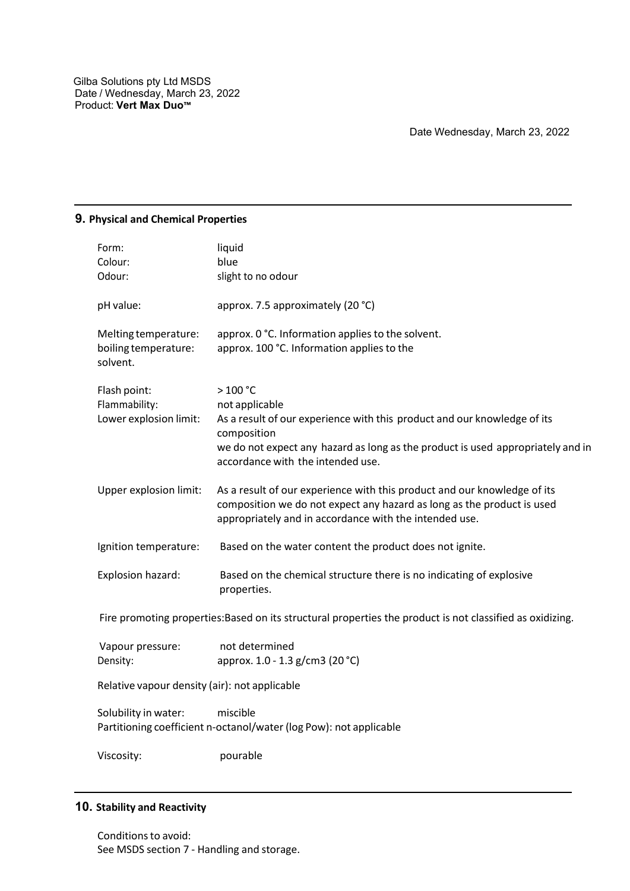# **9. Physical and Chemical Properties**

| Form:                            | liquid                                                                                                                                             |
|----------------------------------|----------------------------------------------------------------------------------------------------------------------------------------------------|
| Colour:                          | blue                                                                                                                                               |
| Odour:                           | slight to no odour                                                                                                                                 |
| pH value:                        | approx. 7.5 approximately (20 °C)                                                                                                                  |
| Melting temperature:             | approx. 0 °C. Information applies to the solvent.                                                                                                  |
| boiling temperature:<br>solvent. | approx. 100 °C. Information applies to the                                                                                                         |
| Flash point:                     | $>100 °C$                                                                                                                                          |
| Flammability:                    | not applicable                                                                                                                                     |
| Lower explosion limit:           | As a result of our experience with this product and our knowledge of its<br>composition                                                            |
|                                  | we do not expect any hazard as long as the product is used appropriately and in<br>accordance with the intended use.                               |
| Upper explosion limit:           | As a result of our experience with this product and our knowledge of its<br>composition we do not expect any hazard as long as the product is used |
|                                  | appropriately and in accordance with the intended use.                                                                                             |
| Ignition temperature:            | Based on the water content the product does not ignite.                                                                                            |
| Explosion hazard:                | Based on the chemical structure there is no indicating of explosive<br>properties.                                                                 |
|                                  |                                                                                                                                                    |

Fire promoting properties:Based on its structural properties the product is not classified as oxidizing.

| Vapour pressure: | not determined                  |
|------------------|---------------------------------|
| Density:         | approx. 1.0 - 1.3 g/cm3 (20 °C) |

Relative vapour density (air): not applicable

Solubility in water: miscible Partitioning coefficient n-octanol/water (log Pow): not applicable

Viscosity: pourable

# **10. Stability and Reactivity**

Conditions to avoid: See MSDS section 7 - Handling and storage.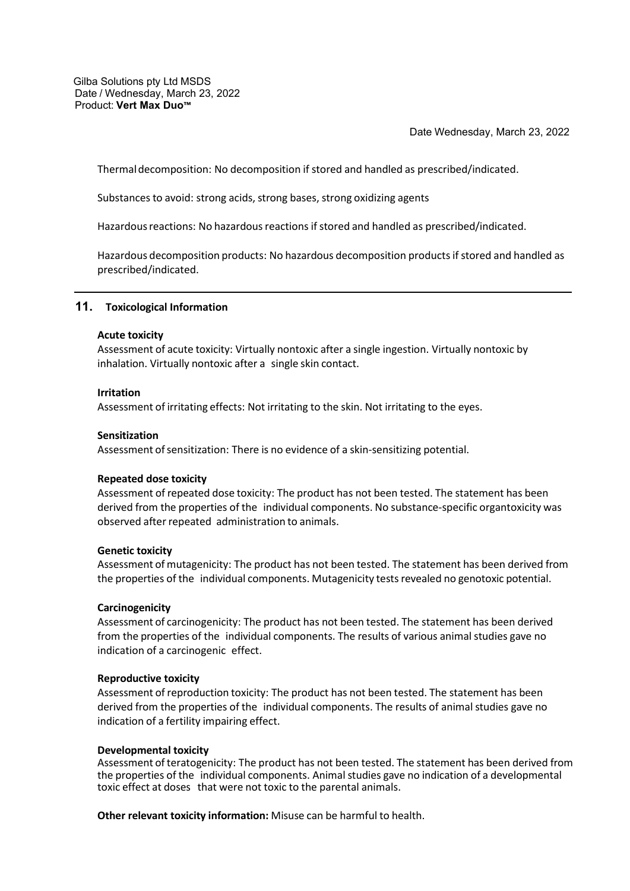Gilba Solutions pty Ltd MSDS Date / Wednesday, March 23, 2022 Product: **Vert Max Duo™**

Date Wednesday, March 23, 2022

Thermaldecomposition: No decomposition if stored and handled as prescribed/indicated.

Substances to avoid: strong acids, strong bases, strong oxidizing agents

Hazardous reactions: No hazardous reactions if stored and handled as prescribed/indicated.

Hazardous decomposition products: No hazardous decomposition productsifstored and handled as prescribed/indicated.

#### **11. Toxicological Information**

#### **Acute toxicity**

Assessment of acute toxicity: Virtually nontoxic after a single ingestion. Virtually nontoxic by inhalation. Virtually nontoxic after a single skin contact.

#### **Irritation**

Assessment of irritating effects: Not irritating to the skin. Not irritating to the eyes.

#### **Sensitization**

Assessment of sensitization: There is no evidence of a skin-sensitizing potential.

#### **Repeated dose toxicity**

Assessment of repeated dose toxicity: The product has not been tested. The statement has been derived from the properties of the individual components. No substance-specific organtoxicity was observed after repeated administration to animals.

#### **Genetic toxicity**

Assessment of mutagenicity: The product has not been tested. The statement has been derived from the properties of the individual components. Mutagenicity tests revealed no genotoxic potential.

#### **Carcinogenicity**

Assessment of carcinogenicity: The product has not been tested. The statement has been derived from the properties of the individual components. The results of various animal studies gave no indication of a carcinogenic effect.

#### **Reproductive toxicity**

Assessment of reproduction toxicity: The product has not been tested. The statement has been derived from the properties of the individual components. The results of animal studies gave no indication of a fertility impairing effect.

#### **Developmental toxicity**

Assessment of teratogenicity: The product has not been tested. The statement has been derived from the properties of the individual components. Animal studies gave no indication of a developmental toxic effect at doses that were not toxic to the parental animals.

**Other relevant toxicity information:** Misuse can be harmful to health.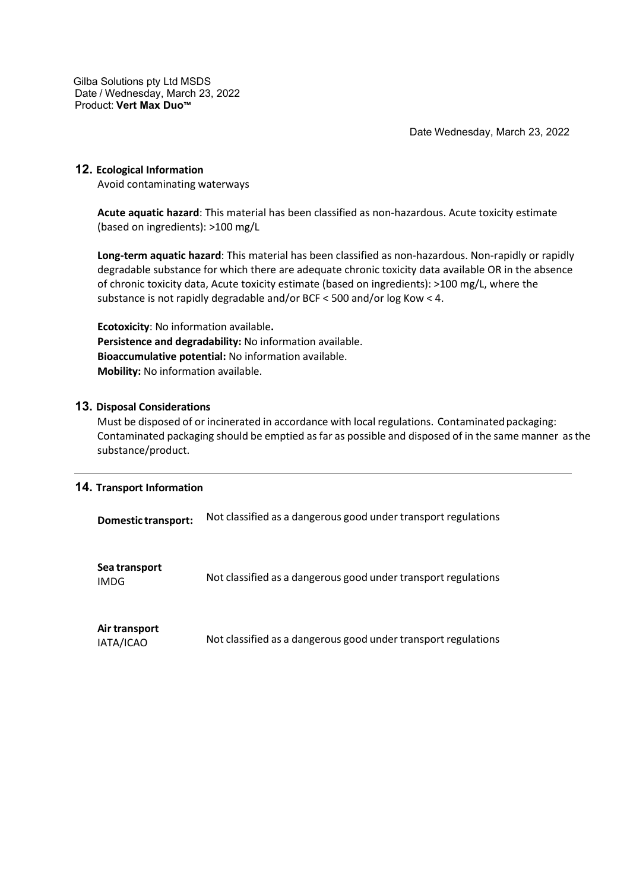Gilba Solutions pty Ltd MSDS Date / Wednesday, March 23, 2022 Product: **Vert Max Duo™**

Date Wednesday, March 23, 2022

# **12. Ecological Information**

Avoid contaminating waterways

**Acute aquatic hazard**: This material has been classified as non-hazardous. Acute toxicity estimate (based on ingredients): >100 mg/L

**Long-term aquatic hazard**: This material has been classified as non-hazardous. Non-rapidly or rapidly degradable substance for which there are adequate chronic toxicity data available OR in the absence of chronic toxicity data, Acute toxicity estimate (based on ingredients): >100 mg/L, where the substance is not rapidly degradable and/or BCF < 500 and/or log Kow < 4.

**Ecotoxicity**: No information available**. Persistence and degradability:** No information available. **Bioaccumulative potential:** No information available. **Mobility:** No information available.

# **13. Disposal Considerations**

Must be disposed of or incinerated in accordance with local regulations. Contaminatedpackaging: Contaminated packaging should be emptied as far as possible and disposed of in the same manner asthe substance/product.

# **14. Transport Information**

**Domestic transport:** Not classified as a dangerous good under transport regulations

| Sea transport<br><b>IMDG</b> | Not classified as a dangerous good under transport regulations |
|------------------------------|----------------------------------------------------------------|
| Air transport<br>IATA/ICAO   | Not classified as a dangerous good under transport regulations |